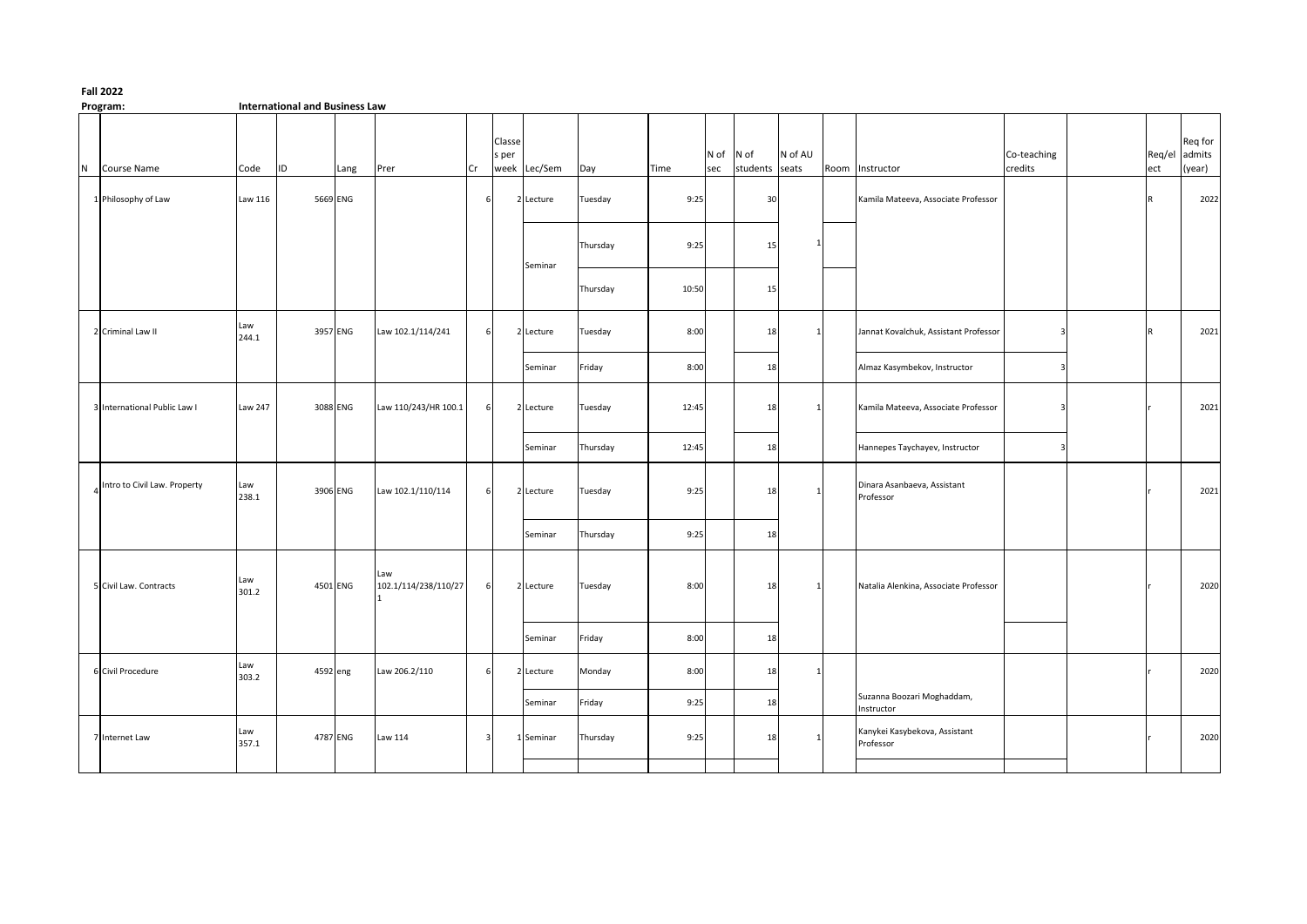## **Program: International and Business Law**

|   | .                            |                |          |          |                             |              |                         |           |          |       |             |                        |              |      |                                            |                         |     |                                    |
|---|------------------------------|----------------|----------|----------|-----------------------------|--------------|-------------------------|-----------|----------|-------|-------------|------------------------|--------------|------|--------------------------------------------|-------------------------|-----|------------------------------------|
| N | Course Name                  | Code           | ID       | Lang     | Prer                        | Cr           | Classe<br>s per<br>week | Lec/Sem   | Day      | Time  | N of<br>sec | N of<br>students seats | N of AU      | Room | Instructor                                 | Co-teaching<br>credits  | ect | Req for<br>Req/el admits<br>(year) |
|   | 1 Philosophy of Law          | Law 116        |          | 5669 ENG |                             |              |                         | 2 Lecture | Tuesday  | 9:25  |             | 30                     |              |      | Kamila Mateeva, Associate Professor        |                         |     | 2022                               |
|   |                              |                |          |          |                             |              |                         | Seminar   | Thursday | 9:25  |             | 15                     |              |      |                                            |                         |     |                                    |
|   |                              |                |          |          |                             |              |                         |           | Thursday | 10:50 |             | 15                     |              |      |                                            |                         |     |                                    |
|   | 2 Criminal Law II            | Law<br>244.1   |          | 3957 ENG | Law 102.1/114/241           | 6            |                         | 2 Lecture | Tuesday  | 8:00  |             | 18                     |              |      | Jannat Kovalchuk, Assistant Professor      | $\mathbf{3}$            |     | 2021                               |
|   |                              |                |          |          |                             |              |                         | Seminar   | Friday   | 8:00  |             | 18                     |              |      | Almaz Kasymbekov, Instructor               | Э                       |     |                                    |
|   | 3 International Public Law I | <b>Law 247</b> |          | 3088 ENG | Law 110/243/HR 100.1        |              |                         | 2 Lecture | Tuesday  | 12:45 |             | 18                     | $\mathbf{1}$ |      | Kamila Mateeva, Associate Professor        | Р                       |     | 2021                               |
|   |                              |                |          |          |                             |              |                         | Seminar   | Thursday | 12:45 |             | 18                     |              |      | Hannepes Taychayev, Instructor             | $\overline{\mathbf{3}}$ |     |                                    |
|   | Intro to Civil Law. Property | Law<br>238.1   |          | 3906 ENG | Law 102.1/110/114           | 6            |                         | 2 Lecture | Tuesday  | 9:25  |             | 18                     |              |      | Dinara Asanbaeva, Assistant<br>Professor   |                         |     | 2021                               |
|   |                              |                |          |          |                             |              |                         | Seminar   | Thursday | 9:25  |             | 18                     |              |      |                                            |                         |     |                                    |
|   | 5 Civil Law. Contracts       | Law<br>301.2   |          | 4501 ENG | Law<br>102.1/114/238/110/27 |              |                         | 2 Lecture | Tuesday  | 8:00  |             | 18                     |              |      | Natalia Alenkina, Associate Professor      |                         |     | 2020                               |
|   |                              |                |          |          |                             |              |                         | Seminar   | Friday   | 8:00  |             | 18                     |              |      |                                            |                         |     |                                    |
|   | 6 Civil Procedure            | Law<br>303.2   | 4592 eng |          | Law 206.2/110               |              |                         | 2 Lecture | Monday   | 8:00  |             | 18                     | -1           |      |                                            |                         |     | 2020                               |
|   |                              |                |          |          |                             |              |                         | Seminar   | Friday   | 9:25  |             | 18                     |              |      | Suzanna Boozari Moghaddam,<br>Instructor   |                         |     |                                    |
|   | 7 Internet Law               | Law<br>357.1   |          | 4787 ENG | Law 114                     | $\mathbf{a}$ |                         | 1 Seminar | Thursday | 9:25  |             | 18                     |              |      | Kanykei Kasybekova, Assistant<br>Professor |                         |     | 2020                               |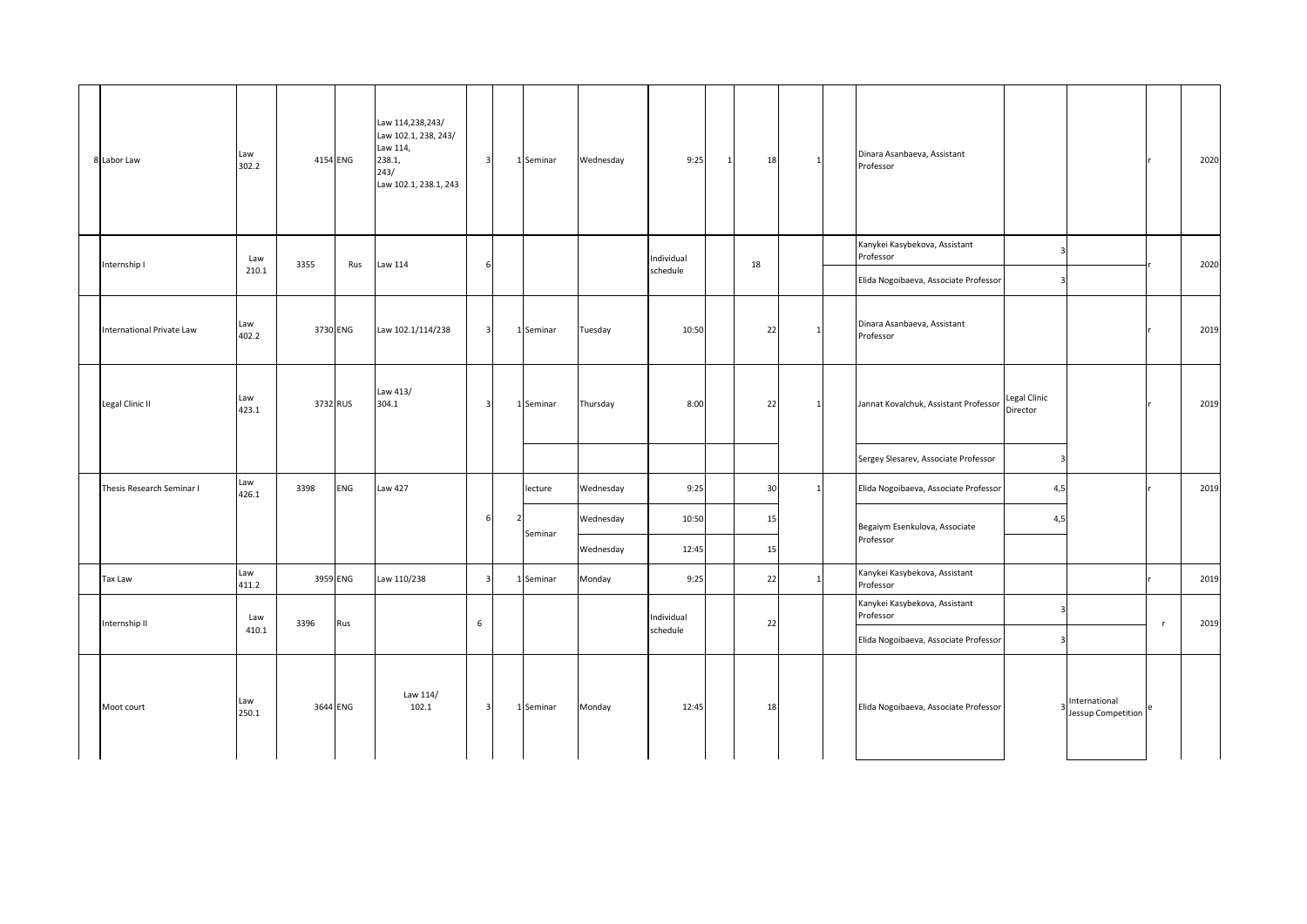| 8 Labor Law                      | Law<br>302.2 |      | 4154 ENG | Law 114,238,243/<br>Law 102.1, 238, 243/<br>Law 114,<br>238.1,<br>243/<br>Law 102.1, 238.1, 243 | $\overline{\mathbf{3}}$ | 1 Seminar | Wednesday | 9:25                   | 1 | 18 | -1           | Dinara Asanbaeva, Assistant<br>Professor                                            |                                      |                                     | 2020 |
|----------------------------------|--------------|------|----------|-------------------------------------------------------------------------------------------------|-------------------------|-----------|-----------|------------------------|---|----|--------------|-------------------------------------------------------------------------------------|--------------------------------------|-------------------------------------|------|
| Internship I                     | Law<br>210.1 | 3355 | Rus      | Law 114                                                                                         | 6                       |           |           | Individual<br>schedule |   | 18 |              | Kanykei Kasybekova, Assistant<br>Professor<br>Elida Nogoibaeva, Associate Professor | $\vert$ 3<br>$\overline{\mathbf{3}}$ |                                     | 2020 |
| <b>International Private Law</b> | Law<br>402.2 |      | 3730 ENG | Law 102.1/114/238                                                                               | $\overline{\mathbf{3}}$ | 1 Seminar | Tuesday   | 10:50                  |   | 22 | 1            | Dinara Asanbaeva, Assistant<br>Professor                                            |                                      |                                     | 2019 |
| Legal Clinic II                  | Law<br>423.1 |      | 3732 RUS | Law 413/<br>304.1                                                                               | $\overline{3}$          | 1 Seminar | Thursday  | 8:00                   |   | 22 |              | Jannat Kovalchuk, Assistant Professor                                               | Legal Clinic<br>Director             |                                     | 2019 |
|                                  |              |      |          |                                                                                                 |                         |           |           |                        |   |    |              | Sergey Slesarev, Associate Professor                                                | $\overline{\mathbf{3}}$              |                                     |      |
| Thesis Research Seminar I        | Law<br>426.1 | 3398 | ENG      | Law 427                                                                                         |                         | lecture   | Wednesday | 9:25                   |   | 30 | $\mathbf{1}$ | Elida Nogoibaeva, Associate Professor                                               | 4,5                                  |                                     | 2019 |
|                                  |              |      |          |                                                                                                 | 6                       |           | Wednesday | 10:50                  |   | 15 |              | Begaiym Esenkulova, Associate                                                       | 4,5                                  |                                     |      |
|                                  |              |      |          |                                                                                                 |                         | Seminar   | Wednesday | 12:45                  |   | 15 |              | Professor                                                                           |                                      |                                     |      |
| Tax Law                          | Law<br>411.2 |      | 3959 ENG | Law 110/238                                                                                     | $\overline{\mathbf{3}}$ | 1 Seminar | Monday    | 9:25                   |   | 22 | 1            | Kanykei Kasybekova, Assistant<br>Professor                                          |                                      |                                     | 2019 |
|                                  | Law          |      |          |                                                                                                 |                         |           |           | Individual             |   |    |              | Kanykei Kasybekova, Assistant<br>Professor                                          | $\overline{\mathbf{3}}$              |                                     |      |
| Internship II                    | 410.1        | 3396 | Rus      |                                                                                                 | $6\phantom{.}6$         |           |           | schedule               |   | 22 |              | Elida Nogoibaeva, Associate Professor                                               | $\overline{\mathbf{3}}$              |                                     | 2019 |
| Moot court                       | Law<br>250.1 |      | 3644 ENG | Law 114/<br>102.1                                                                               | $\overline{\mathbf{3}}$ | 1 Seminar | Monday    | 12:45                  |   | 18 |              | Elida Nogoibaeva, Associate Professor                                               |                                      | International<br>Jessup Competition |      |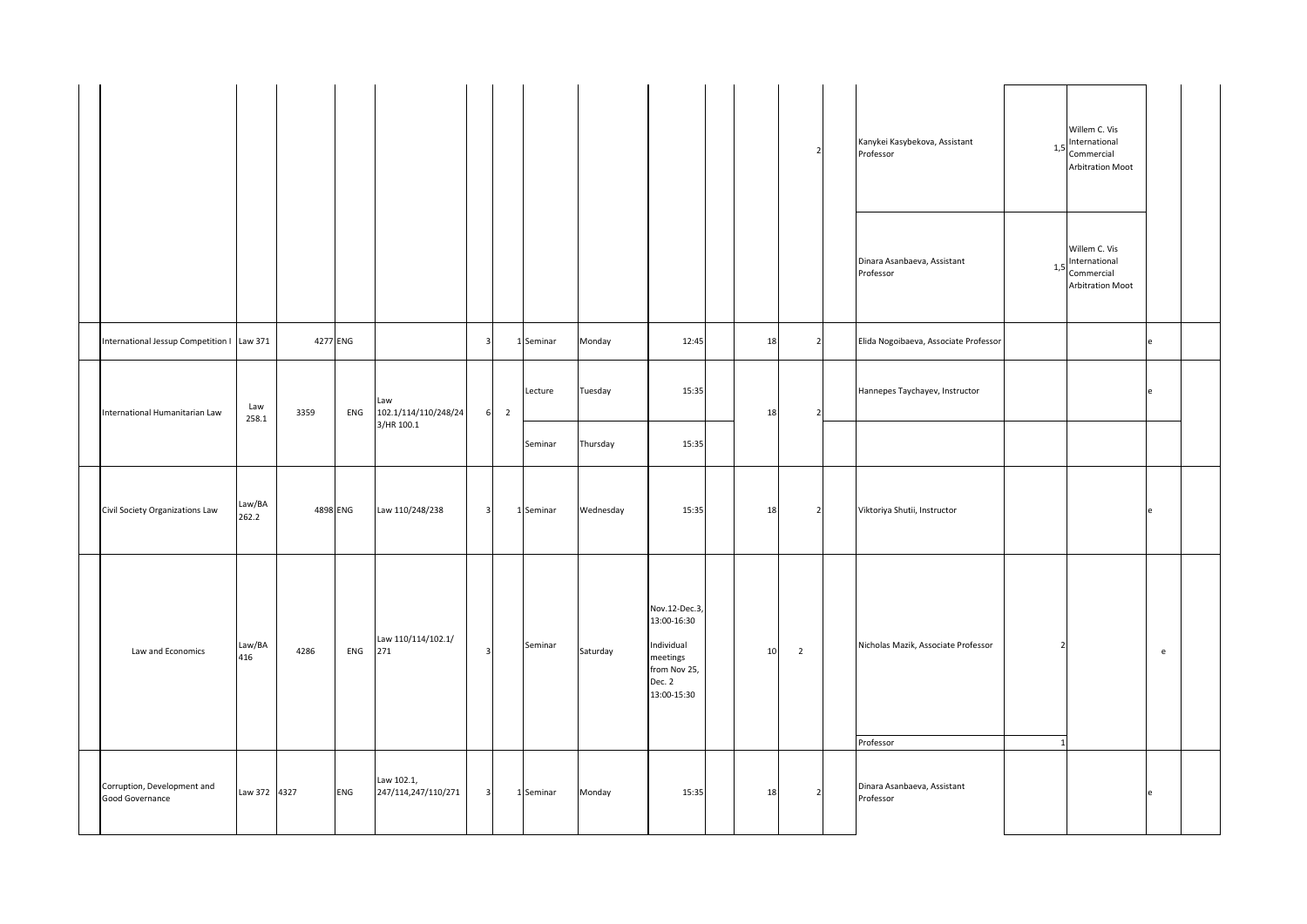|                                                |                 |          |     |                                   |                         |                            |           |           |                                                                                                 |    |                | Kanykei Kasybekova, Assistant<br>Professor       | 1,5               | Willem C. Vis<br>International<br>Commercial<br><b>Arbitration Moot</b> |                                   |  |
|------------------------------------------------|-----------------|----------|-----|-----------------------------------|-------------------------|----------------------------|-----------|-----------|-------------------------------------------------------------------------------------------------|----|----------------|--------------------------------------------------|-------------------|-------------------------------------------------------------------------|-----------------------------------|--|
|                                                |                 |          |     |                                   |                         |                            |           |           |                                                                                                 |    |                | Dinara Asanbaeva, Assistant<br>Professor         | 1,5               | Willem C. Vis<br>International<br>Commercial<br><b>Arbitration Moot</b> |                                   |  |
| International Jessup Competition   Law 371     |                 | 4277 ENG |     |                                   | $\overline{\mathbf{3}}$ |                            | 1 Seminar | Monday    | 12:45                                                                                           | 18 | $\overline{2}$ | Elida Nogoibaeva, Associate Professor            |                   |                                                                         | e                                 |  |
| International Humanitarian Law                 | Law<br>258.1    | 3359     | ENG | Law<br>102.1/114/110/248/24       |                         | $\overline{2}$<br>$6 \mid$ | Lecture   | Tuesday   | 15:35                                                                                           | 18 |                | Hannepes Taychayev, Instructor                   |                   |                                                                         | IΑ                                |  |
|                                                |                 |          |     | 3/HR 100.1                        |                         |                            | Seminar   | Thursday  | 15:35                                                                                           |    |                |                                                  |                   |                                                                         |                                   |  |
| Civil Society Organizations Law                | Law/BA<br>262.2 | 4898 ENG |     | Law 110/248/238                   | $\overline{\mathbf{3}}$ |                            | 1 Seminar | Wednesday | 15:35                                                                                           | 18 | 2              | Viktoriya Shutii, Instructor                     |                   |                                                                         | le                                |  |
| Law and Economics                              | Law/BA<br>416   | 4286     | ENG | Law 110/114/102.1/<br>271         | $\overline{\mathbf{3}}$ |                            | Seminar   | Saturday  | Nov.12-Dec.3,<br>13:00-16:30<br>Individual<br>meetings<br>from Nov 25,<br>Dec. 2<br>13:00-15:30 | 10 | $\overline{2}$ | Nicholas Mazik, Associate Professor<br>Professor | 2<br>$\mathbf{1}$ |                                                                         | $\mathsf{e}% _{t}\left( t\right)$ |  |
| Corruption, Development and<br>Good Governance | Law 372 4327    |          | ENG | Law 102.1,<br>247/114,247/110/271 | $\overline{\mathbf{3}}$ |                            | 1 Seminar | Monday    | 15:35                                                                                           | 18 | $\overline{2}$ | Dinara Asanbaeva, Assistant<br>Professor         |                   |                                                                         | le                                |  |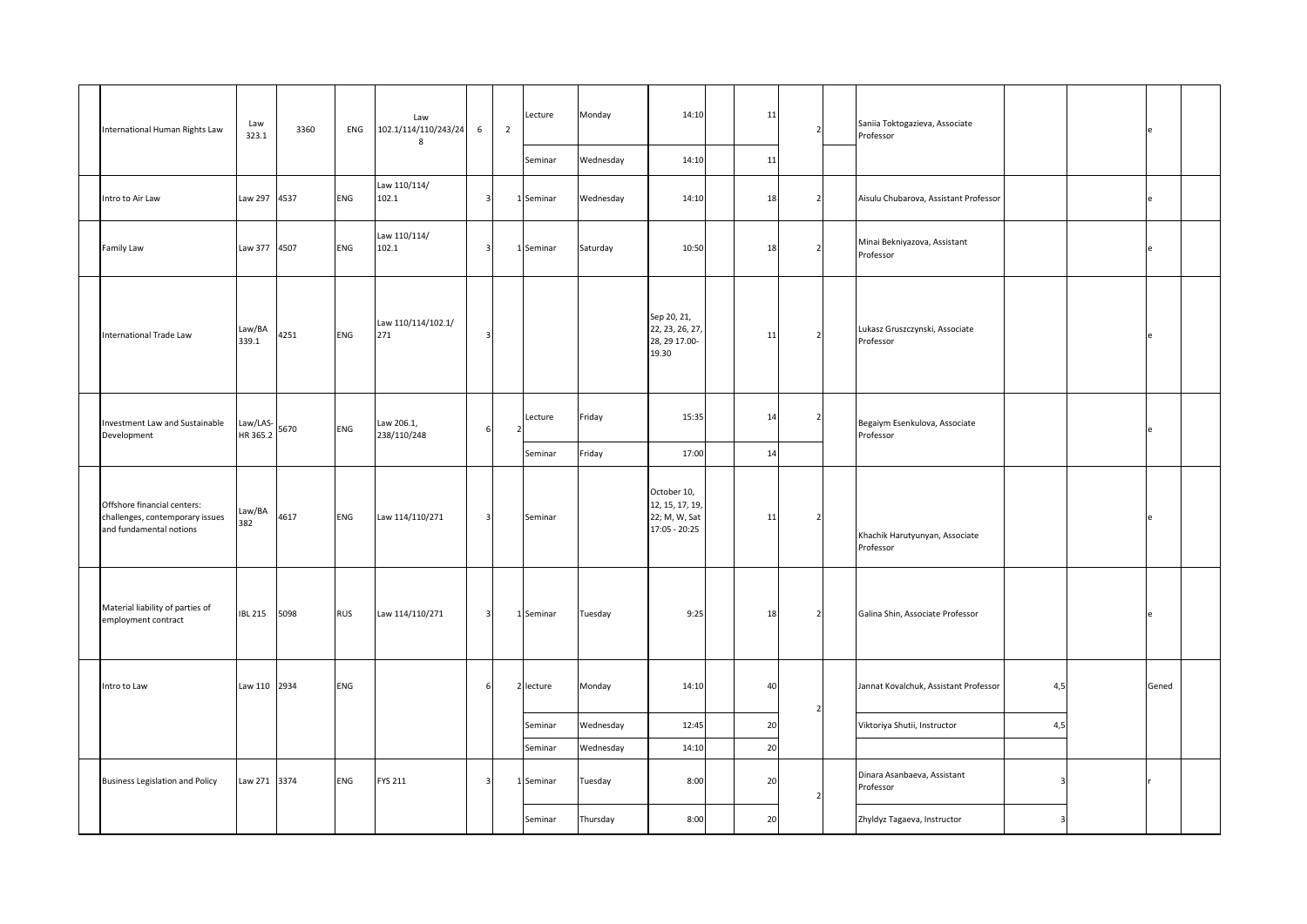| International Human Rights Law                                                            | Law<br>323.1         | 3360 | ENG        | Law<br>102.1/114/110/243/24<br>8 | $\,$ 6 $\,$             | $\overline{2}$ | Lecture<br>Seminar | Monday<br>Wednesday    | 14:10<br>14:10                                                   | 11<br>11 |                         | Saniia Toktogazieva, Associate<br>Professor |     | e     |  |
|-------------------------------------------------------------------------------------------|----------------------|------|------------|----------------------------------|-------------------------|----------------|--------------------|------------------------|------------------------------------------------------------------|----------|-------------------------|---------------------------------------------|-----|-------|--|
| Intro to Air Law                                                                          | Law 297 4537         |      | ENG        | Law 110/114/<br>102.1            | $\overline{3}$          |                | 1 Seminar          | Wednesday              | 14:10                                                            | 18       | $\overline{2}$          | Aisulu Chubarova, Assistant Professor       |     | le    |  |
| Family Law                                                                                | Law 377 4507         |      | ENG        | Law 110/114/<br>102.1            | $\overline{\mathbf{3}}$ |                | 1 Seminar          | Saturday               | 10:50                                                            | 18       |                         | Minai Bekniyazova, Assistant<br>Professor   |     | e     |  |
| <b>International Trade Law</b>                                                            | Law/BA<br>339.1      | 4251 | ENG        | Law 110/114/102.1/<br>271        | $\overline{\mathbf{3}}$ |                |                    |                        | Sep 20, 21,<br>22, 23, 26, 27,<br>28, 29 17.00-<br>19.30         | 11       | $\mathcal{P}$           | Lukasz Gruszczynski, Associate<br>Professor |     | le    |  |
| Investment Law and Sustainable<br>Development                                             | Law/LAS-<br>HR 365.2 | 5670 | ENG        | Law 206.1,<br>238/110/248        | 6                       |                | Lecture<br>Seminar | Friday<br>Friday       | 15:35<br>17:00                                                   | 14<br>14 |                         | Begaiym Esenkulova, Associate<br>Professor  |     | e     |  |
| Offshore financial centers:<br>challenges, contemporary issues<br>and fundamental notions | Law/BA<br>382        | 4617 | ENG        | Law 114/110/271                  | $\overline{3}$          |                | Seminar            |                        | October 10,<br>12, 15, 17, 19,<br>22; M, W, Sat<br>17:05 - 20:25 | 11       | 2                       | Khachik Harutyunyan, Associate<br>Professor |     |       |  |
| Material liability of parties of<br>employment contract                                   | <b>IBL 215</b>       | 5098 | <b>RUS</b> | Law 114/110/271                  | $\overline{\mathbf{3}}$ |                | 1 Seminar          | Tuesday                | 9:25                                                             | 18       | $\overline{\mathbf{c}}$ | Galina Shin, Associate Professor            |     | e     |  |
| Intro to Law                                                                              | Law 110 2934         |      | ENG        |                                  | 6                       |                | 2 lecture          | Monday                 | 14:10                                                            | 40       |                         | Jannat Kovalchuk, Assistant Professor       | 4,5 | Gened |  |
|                                                                                           |                      |      |            |                                  |                         |                | Seminar<br>Seminar | Wednesday<br>Wednesday | 12:45<br>14:10                                                   | 20<br>20 | $\mathcal{P}$           | Viktoriya Shutii, Instructor                | 4,5 |       |  |
| <b>Business Legislation and Policy</b>                                                    | Law 271 3374         |      | ENG        | <b>FYS 211</b>                   | $\overline{\mathbf{3}}$ |                | 1 Seminar          | Tuesday                | 8:00                                                             | 20       |                         | Dinara Asanbaeva, Assistant<br>Professor    | 3   |       |  |
|                                                                                           |                      |      |            |                                  |                         |                | Seminar            | Thursday               | 8:00                                                             | 20       |                         | Zhyldyz Tagaeva, Instructor                 |     |       |  |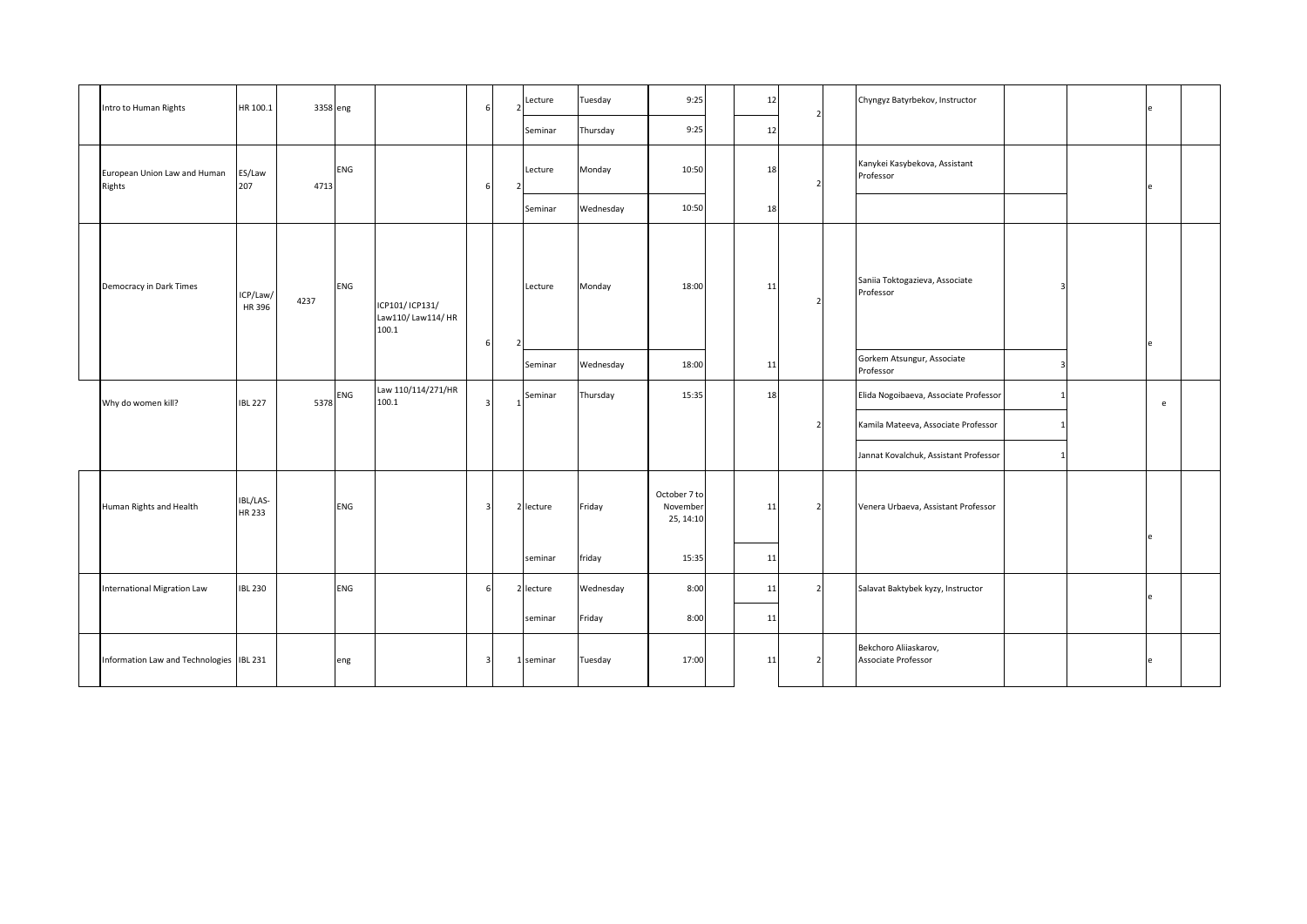| Intro to Human Rights                    | HR 100.1           | 3358 eng |     |                                               |   | Lecture   | Tuesday   | 9:25                                  | 12 | 7              | Chyngyz Batyrbekov, Instructor               |  |   |  |
|------------------------------------------|--------------------|----------|-----|-----------------------------------------------|---|-----------|-----------|---------------------------------------|----|----------------|----------------------------------------------|--|---|--|
|                                          |                    |          |     |                                               |   | Seminar   | Thursday  | 9:25                                  | 12 |                |                                              |  |   |  |
| European Union Law and Human<br>Rights   | ES/Law<br>207      | 4713     | ENG |                                               | 6 | Lecture   | Monday    | 10:50                                 | 18 |                | Kanykei Kasybekova, Assistant<br>Professor   |  |   |  |
|                                          |                    |          |     |                                               |   | Seminar   | Wednesday | 10:50                                 | 18 |                |                                              |  |   |  |
| Democracy in Dark Times                  | ICP/Law/<br>HR 396 | 4237     | ENG | ICP101/ICP131/<br>Law110/ Law114/ HR<br>100.1 | 6 | Lecture   | Monday    | 18:00                                 | 11 |                | Saniia Toktogazieva, Associate<br>Professor  |  |   |  |
|                                          |                    |          |     |                                               |   | Seminar   | Wednesday | 18:00                                 | 11 |                | Gorkem Atsungur, Associate<br>Professor      |  |   |  |
| Why do women kill?                       | <b>IBL 227</b>     | 5378     | ENG | Law 110/114/271/HR<br>100.1                   | 3 | Seminar   | Thursday  | 15:35                                 | 18 |                | Elida Nogoibaeva, Associate Professor        |  | e |  |
|                                          |                    |          |     |                                               |   |           |           |                                       |    | 2              | Kamila Mateeva, Associate Professor          |  |   |  |
|                                          |                    |          |     |                                               |   |           |           |                                       |    |                | Jannat Kovalchuk, Assistant Professor        |  |   |  |
| Human Rights and Health                  | IBL/LAS-<br>HR 233 |          | ENG |                                               | 3 | 2 lecture | Friday    | October 7 to<br>November<br>25, 14:10 | 11 |                | Venera Urbaeva, Assistant Professor          |  |   |  |
|                                          |                    |          |     |                                               |   | seminar   | friday    | 15:35                                 | 11 |                |                                              |  |   |  |
| International Migration Law              | <b>IBL 230</b>     |          | ENG |                                               | 6 | 2 lecture | Wednesday | 8:00                                  | 11 | $\overline{2}$ | Salavat Baktybek kyzy, Instructor            |  |   |  |
|                                          |                    |          |     |                                               |   | seminar   | Friday    | 8:00                                  | 11 |                |                                              |  |   |  |
| Information Law and Technologies IBL 231 |                    |          | eng |                                               | 3 | 1 seminar | Tuesday   | 17:00                                 | 11 |                | Bekchoro Aliiaskarov,<br>Associate Professor |  |   |  |